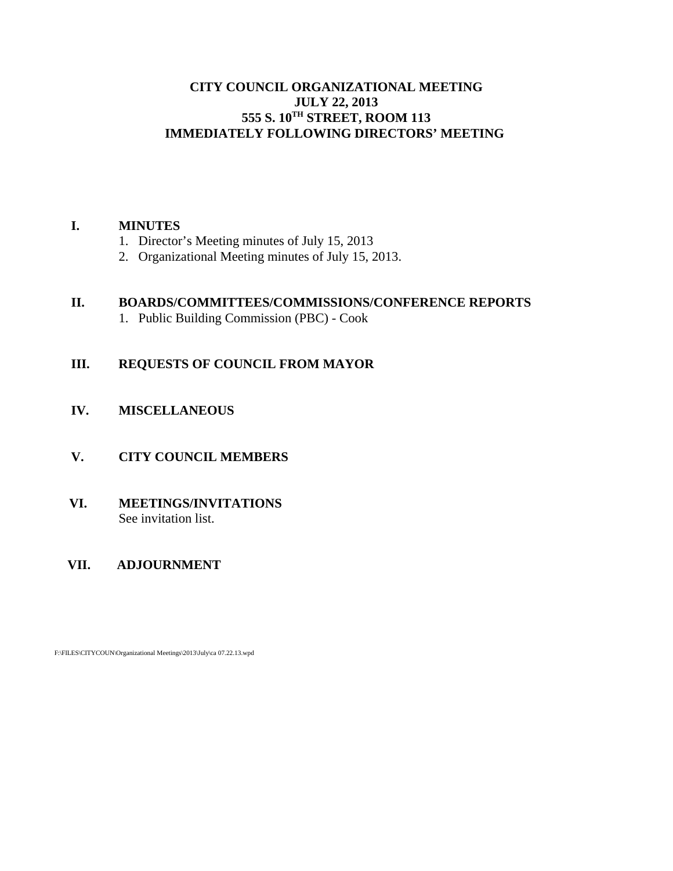## **CITY COUNCIL ORGANIZATIONAL MEETING JULY 22, 2013 555 S. 10TH STREET, ROOM 113 IMMEDIATELY FOLLOWING DIRECTORS' MEETING**

## **I. MINUTES**

- 1. Director's Meeting minutes of July 15, 2013
- 2. Organizational Meeting minutes of July 15, 2013.

## **II. BOARDS/COMMITTEES/COMMISSIONS/CONFERENCE REPORTS**

1. Public Building Commission (PBC) - Cook

## **III. REQUESTS OF COUNCIL FROM MAYOR**

- **IV. MISCELLANEOUS**
- **V. CITY COUNCIL MEMBERS**
- **VI. MEETINGS/INVITATIONS** See invitation list.

## **VII. ADJOURNMENT**

F:\FILES\CITYCOUN\Organizational Meetings\2013\July\ca 07.22.13.wpd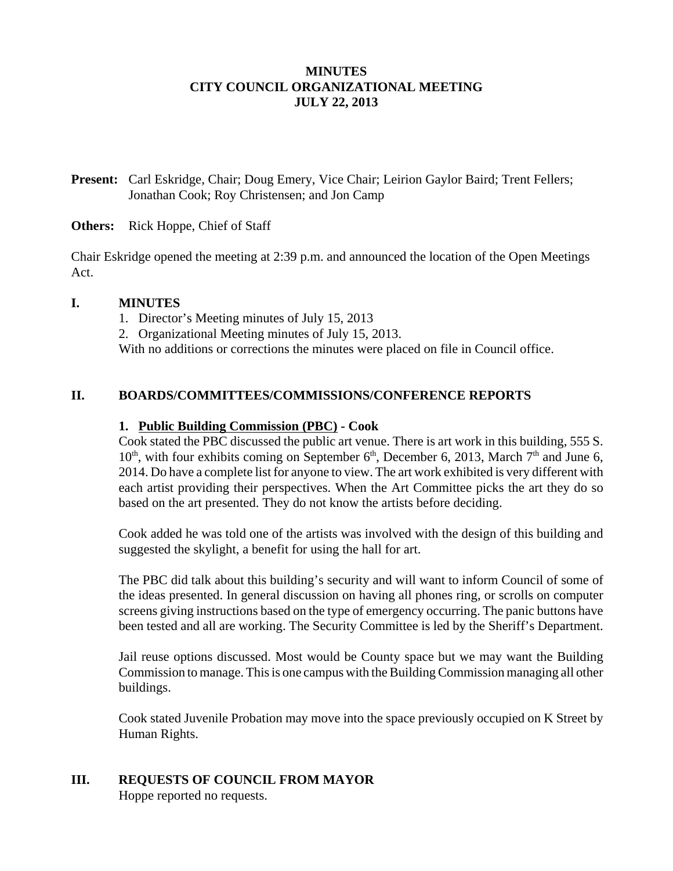## **MINUTES CITY COUNCIL ORGANIZATIONAL MEETING JULY 22, 2013**

**Present:** Carl Eskridge, Chair; Doug Emery, Vice Chair; Leirion Gaylor Baird; Trent Fellers; Jonathan Cook; Roy Christensen; and Jon Camp

#### **Others:** Rick Hoppe, Chief of Staff

Chair Eskridge opened the meeting at 2:39 p.m. and announced the location of the Open Meetings Act.

#### **I. MINUTES**

1. Director's Meeting minutes of July 15, 2013 2. Organizational Meeting minutes of July 15, 2013. With no additions or corrections the minutes were placed on file in Council office.

## **II. BOARDS/COMMITTEES/COMMISSIONS/CONFERENCE REPORTS**

#### **1. Public Building Commission (PBC) - Cook**

Cook stated the PBC discussed the public art venue. There is art work in this building, 555 S.  $10<sup>th</sup>$ , with four exhibits coming on September 6<sup>th</sup>, December 6, 2013, March 7<sup>th</sup> and June 6, 2014. Do have a complete list for anyone to view. The art work exhibited is very different with each artist providing their perspectives. When the Art Committee picks the art they do so based on the art presented. They do not know the artists before deciding.

Cook added he was told one of the artists was involved with the design of this building and suggested the skylight, a benefit for using the hall for art.

The PBC did talk about this building's security and will want to inform Council of some of the ideas presented. In general discussion on having all phones ring, or scrolls on computer screens giving instructions based on the type of emergency occurring. The panic buttons have been tested and all are working. The Security Committee is led by the Sheriff's Department.

Jail reuse options discussed. Most would be County space but we may want the Building Commission to manage. This is one campus with the Building Commission managing all other buildings.

Cook stated Juvenile Probation may move into the space previously occupied on K Street by Human Rights.

# **III. REQUESTS OF COUNCIL FROM MAYOR**

Hoppe reported no requests.